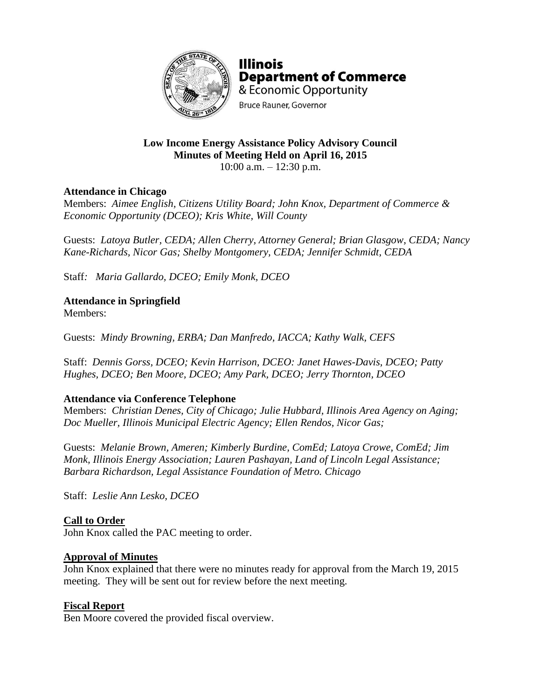

**Illinois Department of Commerce** & Economic Opportunity **Bruce Rauner, Governor** 

# **Low Income Energy Assistance Policy Advisory Council Minutes of Meeting Held on April 16, 2015**

10:00 a.m. – 12:30 p.m.

# **Attendance in Chicago**

Members: *Aimee English, Citizens Utility Board; John Knox, Department of Commerce & Economic Opportunity (DCEO); Kris White, Will County*

Guests: *Latoya Butler, CEDA; Allen Cherry, Attorney General; Brian Glasgow, CEDA; Nancy Kane-Richards, Nicor Gas; Shelby Montgomery, CEDA; Jennifer Schmidt, CEDA*

Staff*: Maria Gallardo, DCEO; Emily Monk, DCEO*

# **Attendance in Springfield**

Members:

Guests: *Mindy Browning, ERBA; Dan Manfredo, IACCA; Kathy Walk, CEFS*

Staff: *Dennis Gorss, DCEO; Kevin Harrison, DCEO: Janet Hawes-Davis, DCEO; Patty Hughes, DCEO; Ben Moore, DCEO; Amy Park, DCEO; Jerry Thornton, DCEO*

## **Attendance via Conference Telephone**

Members: *Christian Denes, City of Chicago; Julie Hubbard, Illinois Area Agency on Aging; Doc Mueller, Illinois Municipal Electric Agency; Ellen Rendos, Nicor Gas;* 

Guests: *Melanie Brown, Ameren; Kimberly Burdine, ComEd; Latoya Crowe, ComEd; Jim Monk, Illinois Energy Association; Lauren Pashayan, Land of Lincoln Legal Assistance; Barbara Richardson, Legal Assistance Foundation of Metro. Chicago*

Staff: *Leslie Ann Lesko, DCEO*

## **Call to Order**

John Knox called the PAC meeting to order.

#### **Approval of Minutes**

John Knox explained that there were no minutes ready for approval from the March 19, 2015 meeting. They will be sent out for review before the next meeting.

## **Fiscal Report**

Ben Moore covered the provided fiscal overview.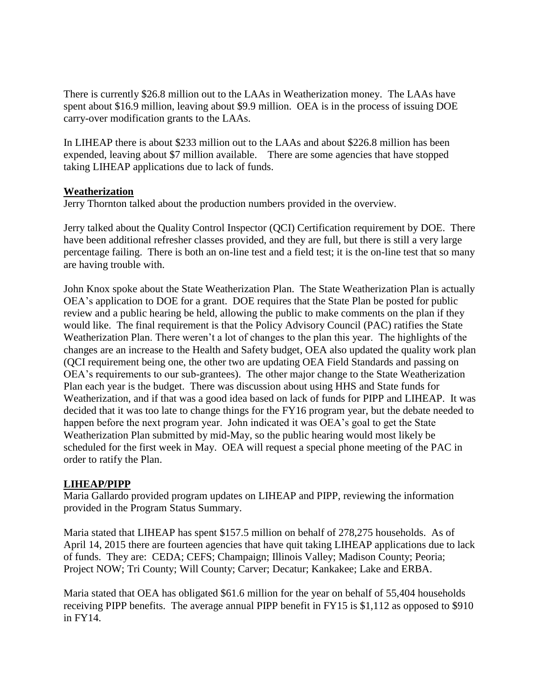There is currently \$26.8 million out to the LAAs in Weatherization money. The LAAs have spent about \$16.9 million, leaving about \$9.9 million. OEA is in the process of issuing DOE carry-over modification grants to the LAAs.

In LIHEAP there is about \$233 million out to the LAAs and about \$226.8 million has been expended, leaving about \$7 million available. There are some agencies that have stopped taking LIHEAP applications due to lack of funds.

#### **Weatherization**

Jerry Thornton talked about the production numbers provided in the overview.

Jerry talked about the Quality Control Inspector (QCI) Certification requirement by DOE. There have been additional refresher classes provided, and they are full, but there is still a very large percentage failing. There is both an on-line test and a field test; it is the on-line test that so many are having trouble with.

John Knox spoke about the State Weatherization Plan. The State Weatherization Plan is actually OEA's application to DOE for a grant. DOE requires that the State Plan be posted for public review and a public hearing be held, allowing the public to make comments on the plan if they would like. The final requirement is that the Policy Advisory Council (PAC) ratifies the State Weatherization Plan. There weren't a lot of changes to the plan this year. The highlights of the changes are an increase to the Health and Safety budget, OEA also updated the quality work plan (QCI requirement being one, the other two are updating OEA Field Standards and passing on OEA's requirements to our sub-grantees). The other major change to the State Weatherization Plan each year is the budget. There was discussion about using HHS and State funds for Weatherization, and if that was a good idea based on lack of funds for PIPP and LIHEAP. It was decided that it was too late to change things for the FY16 program year, but the debate needed to happen before the next program year. John indicated it was OEA's goal to get the State Weatherization Plan submitted by mid-May, so the public hearing would most likely be scheduled for the first week in May. OEA will request a special phone meeting of the PAC in order to ratify the Plan.

## **LIHEAP/PIPP**

Maria Gallardo provided program updates on LIHEAP and PIPP, reviewing the information provided in the Program Status Summary.

Maria stated that LIHEAP has spent \$157.5 million on behalf of 278,275 households. As of April 14, 2015 there are fourteen agencies that have quit taking LIHEAP applications due to lack of funds. They are: CEDA; CEFS; Champaign; Illinois Valley; Madison County; Peoria; Project NOW; Tri County; Will County; Carver; Decatur; Kankakee; Lake and ERBA.

Maria stated that OEA has obligated \$61.6 million for the year on behalf of 55,404 households receiving PIPP benefits. The average annual PIPP benefit in FY15 is \$1,112 as opposed to \$910 in FY14.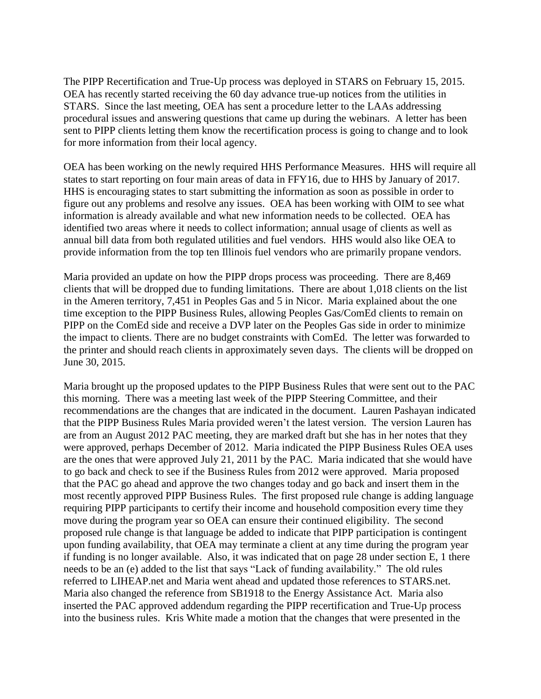The PIPP Recertification and True-Up process was deployed in STARS on February 15, 2015. OEA has recently started receiving the 60 day advance true-up notices from the utilities in STARS. Since the last meeting, OEA has sent a procedure letter to the LAAs addressing procedural issues and answering questions that came up during the webinars. A letter has been sent to PIPP clients letting them know the recertification process is going to change and to look for more information from their local agency.

OEA has been working on the newly required HHS Performance Measures. HHS will require all states to start reporting on four main areas of data in FFY16, due to HHS by January of 2017. HHS is encouraging states to start submitting the information as soon as possible in order to figure out any problems and resolve any issues. OEA has been working with OIM to see what information is already available and what new information needs to be collected. OEA has identified two areas where it needs to collect information; annual usage of clients as well as annual bill data from both regulated utilities and fuel vendors. HHS would also like OEA to provide information from the top ten Illinois fuel vendors who are primarily propane vendors.

Maria provided an update on how the PIPP drops process was proceeding. There are 8,469 clients that will be dropped due to funding limitations. There are about 1,018 clients on the list in the Ameren territory, 7,451 in Peoples Gas and 5 in Nicor. Maria explained about the one time exception to the PIPP Business Rules, allowing Peoples Gas/ComEd clients to remain on PIPP on the ComEd side and receive a DVP later on the Peoples Gas side in order to minimize the impact to clients. There are no budget constraints with ComEd. The letter was forwarded to the printer and should reach clients in approximately seven days. The clients will be dropped on June 30, 2015.

Maria brought up the proposed updates to the PIPP Business Rules that were sent out to the PAC this morning. There was a meeting last week of the PIPP Steering Committee, and their recommendations are the changes that are indicated in the document. Lauren Pashayan indicated that the PIPP Business Rules Maria provided weren't the latest version. The version Lauren has are from an August 2012 PAC meeting, they are marked draft but she has in her notes that they were approved, perhaps December of 2012. Maria indicated the PIPP Business Rules OEA uses are the ones that were approved July 21, 2011 by the PAC. Maria indicated that she would have to go back and check to see if the Business Rules from 2012 were approved. Maria proposed that the PAC go ahead and approve the two changes today and go back and insert them in the most recently approved PIPP Business Rules. The first proposed rule change is adding language requiring PIPP participants to certify their income and household composition every time they move during the program year so OEA can ensure their continued eligibility. The second proposed rule change is that language be added to indicate that PIPP participation is contingent upon funding availability, that OEA may terminate a client at any time during the program year if funding is no longer available. Also, it was indicated that on page 28 under section E, 1 there needs to be an (e) added to the list that says "Lack of funding availability." The old rules referred to LIHEAP.net and Maria went ahead and updated those references to STARS.net. Maria also changed the reference from SB1918 to the Energy Assistance Act. Maria also inserted the PAC approved addendum regarding the PIPP recertification and True-Up process into the business rules. Kris White made a motion that the changes that were presented in the